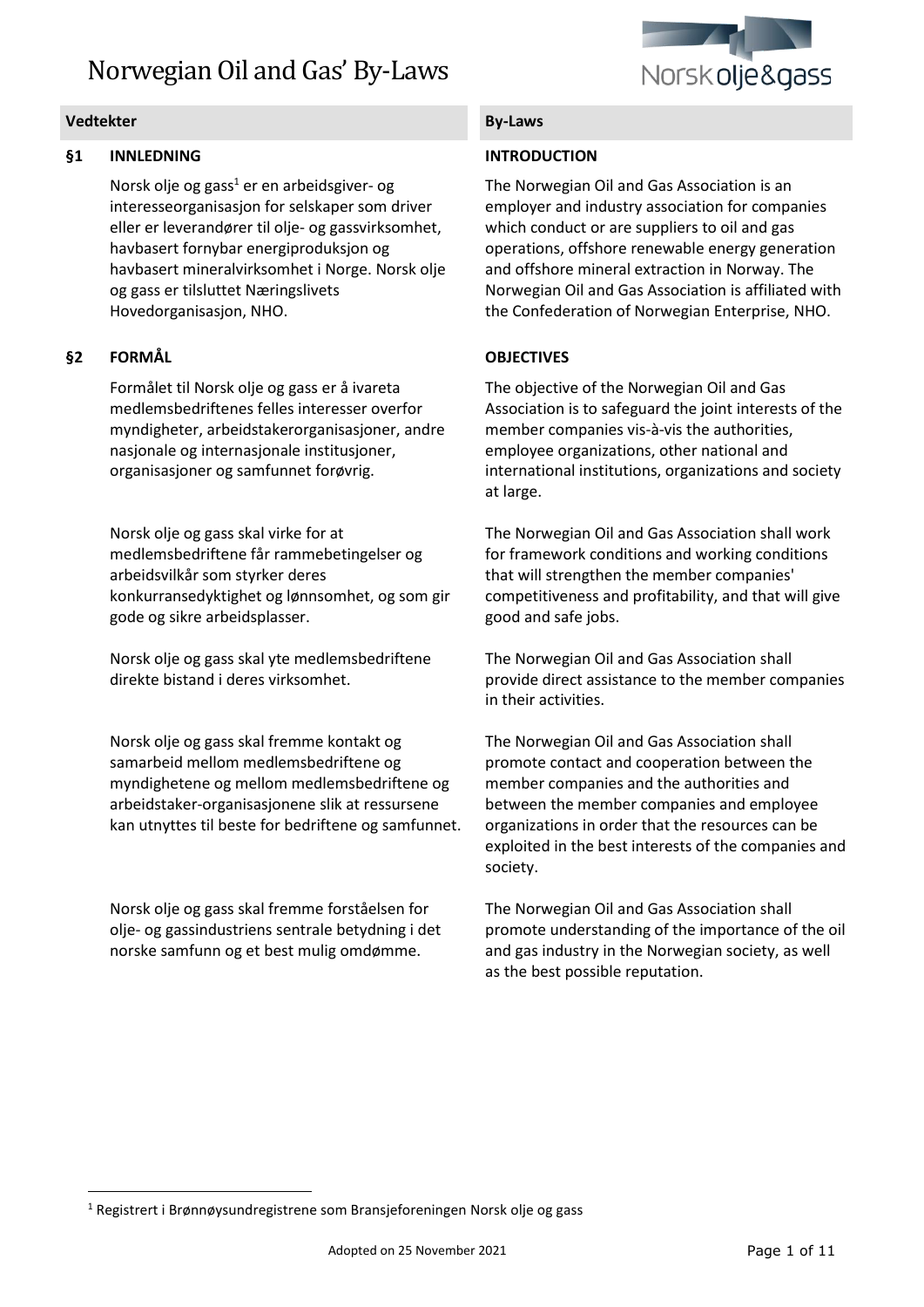

# **§1 INNLEDNING**

Norsk olje og gass<sup>1</sup> er en arbeidsgiver- og interesseorganisasjon for selskaper som driver eller er leverandører til olje- og gassvirksomhet, havbasert fornybar energiproduksjon og havbasert mineralvirksomhet i Norge. Norsk olje og gass er tilsluttet Næringslivets Hovedorganisasjon, NHO.

# **§2 FORMÅL**

Formålet til Norsk olje og gass er å ivareta medlemsbedriftenes felles interesser overfor myndigheter, arbeidstakerorganisasjoner, andre nasjonale og internasjonale institusjoner, organisasjoner og samfunnet forøvrig.

Norsk olje og gass skal virke for at medlemsbedriftene får rammebetingelser og arbeidsvilkår som styrker deres konkurransedyktighet og lønnsomhet, og som gir gode og sikre arbeidsplasser.

Norsk olje og gass skal yte medlemsbedriftene direkte bistand i deres virksomhet.

Norsk olje og gass skal fremme kontakt og samarbeid mellom medlemsbedriftene og myndighetene og mellom medlemsbedriftene og arbeidstaker-organisasjonene slik at ressursene kan utnyttes til beste for bedriftene og samfunnet.

Norsk olje og gass skal fremme forståelsen for olje- og gassindustriens sentrale betydning i det norske samfunn og et best mulig omdømme.

# **INTRODUCTION**

The Norwegian Oil and Gas Association is an employer and industry association for companies which conduct or are suppliers to oil and gas operations, offshore renewable energy generation and offshore mineral extraction in Norway. The Norwegian Oil and Gas Association is affiliated with the Confederation of Norwegian Enterprise, NHO.

# **OBJECTIVES**

The objective of the Norwegian Oil and Gas Association is to safeguard the joint interests of the member companies vis-à-vis the authorities, employee organizations, other national and international institutions, organizations and society at large.

The Norwegian Oil and Gas Association shall work for framework conditions and working conditions that will strengthen the member companies' competitiveness and profitability, and that will give good and safe jobs.

The Norwegian Oil and Gas Association shall provide direct assistance to the member companies in their activities.

The Norwegian Oil and Gas Association shall promote contact and cooperation between the member companies and the authorities and between the member companies and employee organizations in order that the resources can be exploited in the best interests of the companies and society.

The Norwegian Oil and Gas Association shall promote understanding of the importance of the oil and gas industry in the Norwegian society, as well as the best possible reputation.

<sup>1</sup> Registrert i Brønnøysundregistrene som Bransjeforeningen Norsk olje og gass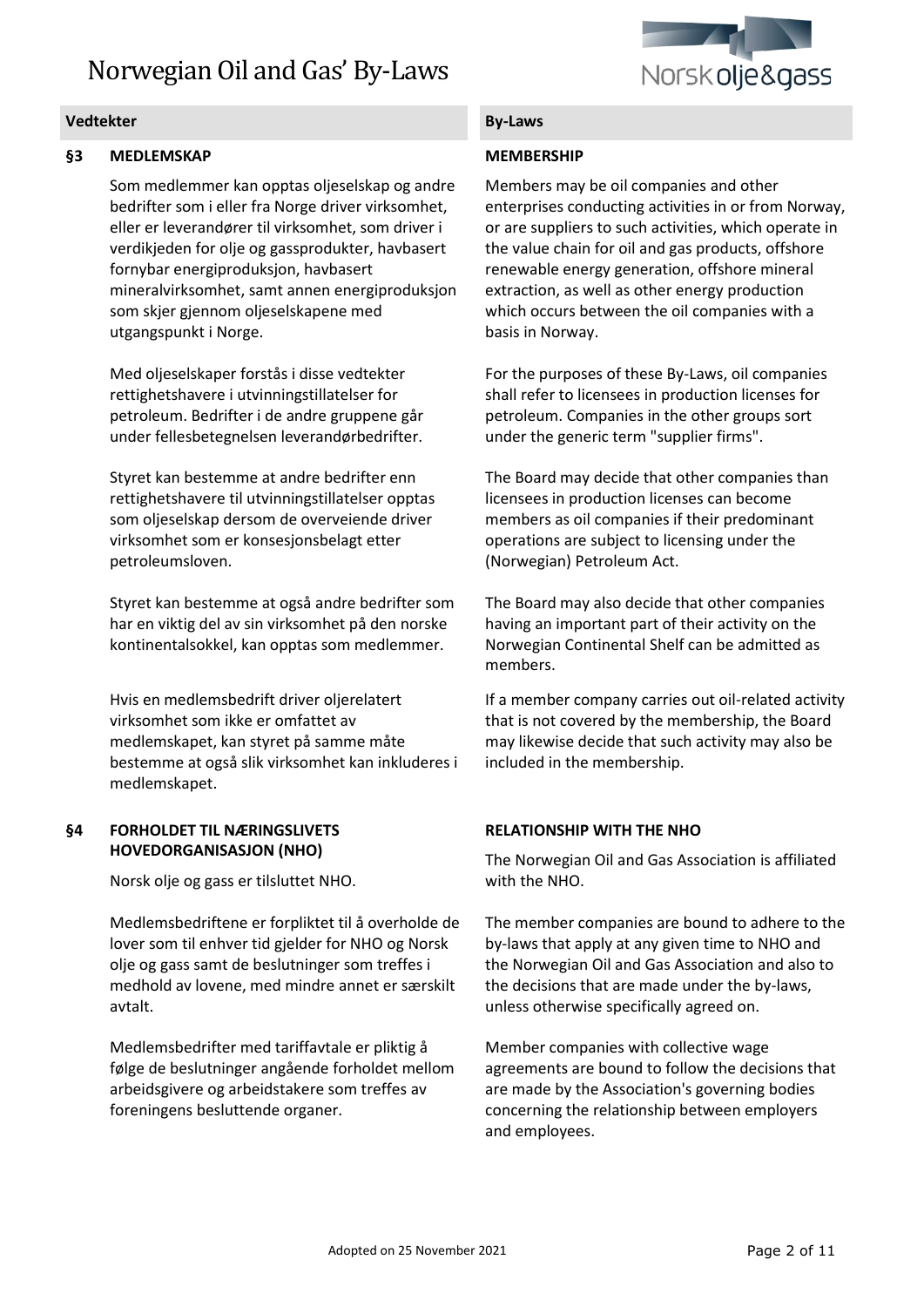

### **§3 MEDLEMSKAP**

Som medlemmer kan opptas oljeselskap og andre bedrifter som i eller fra Norge driver virksomhet, eller er leverandører til virksomhet, som driver i verdikjeden for olje og gassprodukter, havbasert fornybar energiproduksjon, havbasert mineralvirksomhet, samt annen energiproduksjon som skjer gjennom oljeselskapene med utgangspunkt i Norge.

Med oljeselskaper forstås i disse vedtekter rettighetshavere i utvinningstillatelser for petroleum. Bedrifter i de andre gruppene går under fellesbetegnelsen leverandørbedrifter.

Styret kan bestemme at andre bedrifter enn rettighetshavere til utvinningstillatelser opptas som oljeselskap dersom de overveiende driver virksomhet som er konsesjonsbelagt etter petroleumsloven.

Styret kan bestemme at også andre bedrifter som har en viktig del av sin virksomhet på den norske kontinentalsokkel, kan opptas som medlemmer.

Hvis en medlemsbedrift driver oljerelatert virksomhet som ikke er omfattet av medlemskapet, kan styret på samme måte bestemme at også slik virksomhet kan inkluderes i medlemskapet.

### **§4 FORHOLDET TIL NÆRINGSLIVETS HOVEDORGANISASJON (NHO)**

Norsk olje og gass er tilsluttet NHO.

Medlemsbedriftene er forpliktet til å overholde de lover som til enhver tid gjelder for NHO og Norsk olje og gass samt de beslutninger som treffes i medhold av lovene, med mindre annet er særskilt avtalt.

Medlemsbedrifter med tariffavtale er pliktig å følge de beslutninger angående forholdet mellom arbeidsgivere og arbeidstakere som treffes av foreningens besluttende organer.

### **MEMBERSHIP**

Members may be oil companies and other enterprises conducting activities in or from Norway, or are suppliers to such activities, which operate in the value chain for oil and gas products, offshore renewable energy generation, offshore mineral extraction, as well as other energy production which occurs between the oil companies with a basis in Norway.

For the purposes of these By-Laws, oil companies shall refer to licensees in production licenses for petroleum. Companies in the other groups sort under the generic term "supplier firms".

The Board may decide that other companies than licensees in production licenses can become members as oil companies if their predominant operations are subject to licensing under the (Norwegian) Petroleum Act.

The Board may also decide that other companies having an important part of their activity on the Norwegian Continental Shelf can be admitted as members.

If a member company carries out oil-related activity that is not covered by the membership, the Board may likewise decide that such activity may also be included in the membership.

# **RELATIONSHIP WITH THE NHO**

The Norwegian Oil and Gas Association is affiliated with the NHO.

The member companies are bound to adhere to the by-laws that apply at any given time to NHO and the Norwegian Oil and Gas Association and also to the decisions that are made under the by-laws, unless otherwise specifically agreed on.

Member companies with collective wage agreements are bound to follow the decisions that are made by the Association's governing bodies concerning the relationship between employers and employees.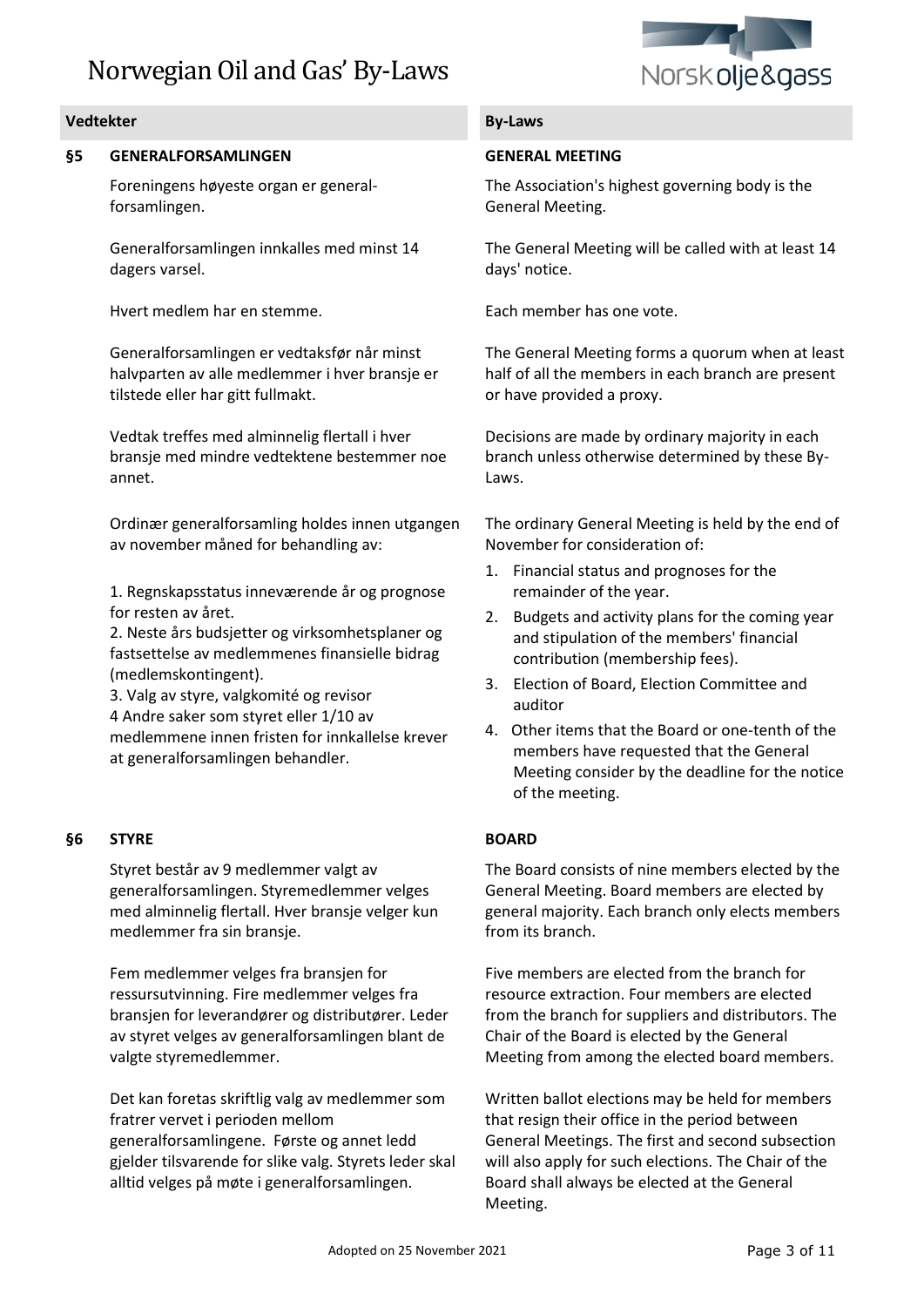

### **Vedtekter By-Laws**

### **§5 GENERALFORSAMLINGEN**

Foreningens høyeste organ er generalforsamlingen.

Generalforsamlingen innkalles med minst 14 dagers varsel.

Hvert medlem har en stemme. Each member has one vote.

Generalforsamlingen er vedtaksfør når minst halvparten av alle medlemmer i hver bransje er tilstede eller har gitt fullmakt.

Vedtak treffes med alminnelig flertall i hver bransje med mindre vedtektene bestemmer noe annet.

Ordinær generalforsamling holdes innen utgangen av november måned for behandling av:

1. Regnskapsstatus inneværende år og prognose for resten av året.

2. Neste års budsjetter og virksomhetsplaner og fastsettelse av medlemmenes finansielle bidrag (medlemskontingent).

3. Valg av styre, valgkomité og revisor 4 Andre saker som styret eller 1/10 av medlemmene innen fristen for innkallelse krever at generalforsamlingen behandler.

### **§6 STYRE**

Styret består av 9 medlemmer valgt av generalforsamlingen. Styremedlemmer velges med alminnelig flertall. Hver bransje velger kun medlemmer fra sin bransje.

Fem medlemmer velges fra bransjen for ressursutvinning. Fire medlemmer velges fra bransjen for leverandører og distributører. Leder av styret velges av generalforsamlingen blant de valgte styremedlemmer.

Det kan foretas skriftlig valg av medlemmer som fratrer vervet i perioden mellom generalforsamlingene. Første og annet ledd gjelder tilsvarende for slike valg. Styrets leder skal alltid velges på møte i generalforsamlingen.

### **GENERAL MEETING**

The Association's highest governing body is the General Meeting.

The General Meeting will be called with at least 14 days' notice.

The General Meeting forms a quorum when at least half of all the members in each branch are present or have provided a proxy.

Decisions are made by ordinary majority in each branch unless otherwise determined by these By-Laws.

The ordinary General Meeting is held by the end of November for consideration of:

- 1. Financial status and prognoses for the remainder of the year.
- 2. Budgets and activity plans for the coming year and stipulation of the members' financial contribution (membership fees).
- 3. Election of Board, Election Committee and auditor
- 4. Other items that the Board or one-tenth of the members have requested that the General Meeting consider by the deadline for the notice of the meeting.

### **BOARD**

The Board consists of nine members elected by the General Meeting. Board members are elected by general majority. Each branch only elects members from its branch.

Five members are elected from the branch for resource extraction. Four members are elected from the branch for suppliers and distributors. The Chair of the Board is elected by the General Meeting from among the elected board members.

Written ballot elections may be held for members that resign their office in the period between General Meetings. The first and second subsection will also apply for such elections. The Chair of the Board shall always be elected at the General Meeting.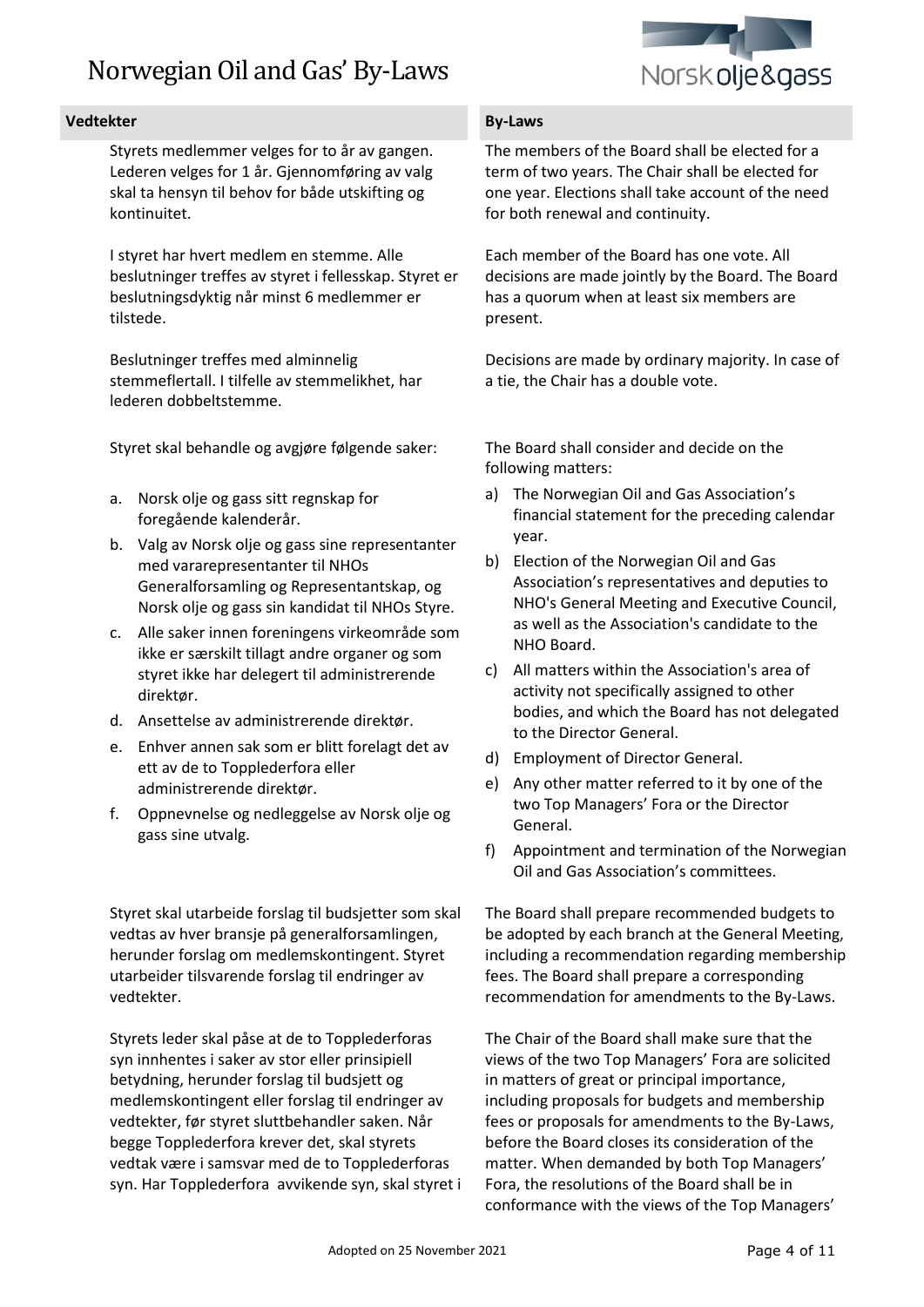

### **Vedtekter By-Laws**

Styrets medlemmer velges for to år av gangen. Lederen velges for 1 år. Gjennomføring av valg skal ta hensyn til behov for både utskifting og kontinuitet.

I styret har hvert medlem en stemme. Alle beslutninger treffes av styret i fellesskap. Styret er beslutningsdyktig når minst 6 medlemmer er tilstede.

Beslutninger treffes med alminnelig stemmeflertall. I tilfelle av stemmelikhet, har lederen dobbeltstemme.

Styret skal behandle og avgjøre følgende saker:

- a. Norsk olje og gass sitt regnskap for foregående kalenderår.
- b. Valg av Norsk olje og gass sine representanter med vararepresentanter til NHOs Generalforsamling og Representantskap, og Norsk olje og gass sin kandidat til NHOs Styre.
- c. Alle saker innen foreningens virkeområde som ikke er særskilt tillagt andre organer og som styret ikke har delegert til administrerende direktør.
- d. Ansettelse av administrerende direktør.
- e. Enhver annen sak som er blitt forelagt det av ett av de to Topplederfora eller administrerende direktør.
- f. Oppnevnelse og nedleggelse av Norsk olje og gass sine utvalg.

Styret skal utarbeide forslag til budsjetter som skal vedtas av hver bransje på generalforsamlingen, herunder forslag om medlemskontingent. Styret utarbeider tilsvarende forslag til endringer av vedtekter.

Styrets leder skal påse at de to Topplederforas syn innhentes i saker av stor eller prinsipiell betydning, herunder forslag til budsjett og medlemskontingent eller forslag til endringer av vedtekter, før styret sluttbehandler saken. Når begge Topplederfora krever det, skal styrets vedtak være i samsvar med de to Topplederforas syn. Har Topplederfora avvikende syn, skal styret i

The members of the Board shall be elected for a term of two years. The Chair shall be elected for one year. Elections shall take account of the need for both renewal and continuity.

Each member of the Board has one vote. All decisions are made jointly by the Board. The Board has a quorum when at least six members are present.

Decisions are made by ordinary majority. In case of a tie, the Chair has a double vote.

The Board shall consider and decide on the following matters:

- a) The Norwegian Oil and Gas Association's financial statement for the preceding calendar year.
- b) Election of the Norwegian Oil and Gas Association's representatives and deputies to NHO's General Meeting and Executive Council, as well as the Association's candidate to the NHO Board.
- c) All matters within the Association's area of activity not specifically assigned to other bodies, and which the Board has not delegated to the Director General.
- d) Employment of Director General.
- e) Any other matter referred to it by one of the two Top Managers' Fora or the Director General.
- f) Appointment and termination of the Norwegian Oil and Gas Association's committees.

The Board shall prepare recommended budgets to be adopted by each branch at the General Meeting, including a recommendation regarding membership fees. The Board shall prepare a corresponding recommendation for amendments to the By-Laws.

The Chair of the Board shall make sure that the views of the two Top Managers' Fora are solicited in matters of great or principal importance, including proposals for budgets and membership fees or proposals for amendments to the By-Laws, before the Board closes its consideration of the matter. When demanded by both Top Managers' Fora, the resolutions of the Board shall be in conformance with the views of the Top Managers'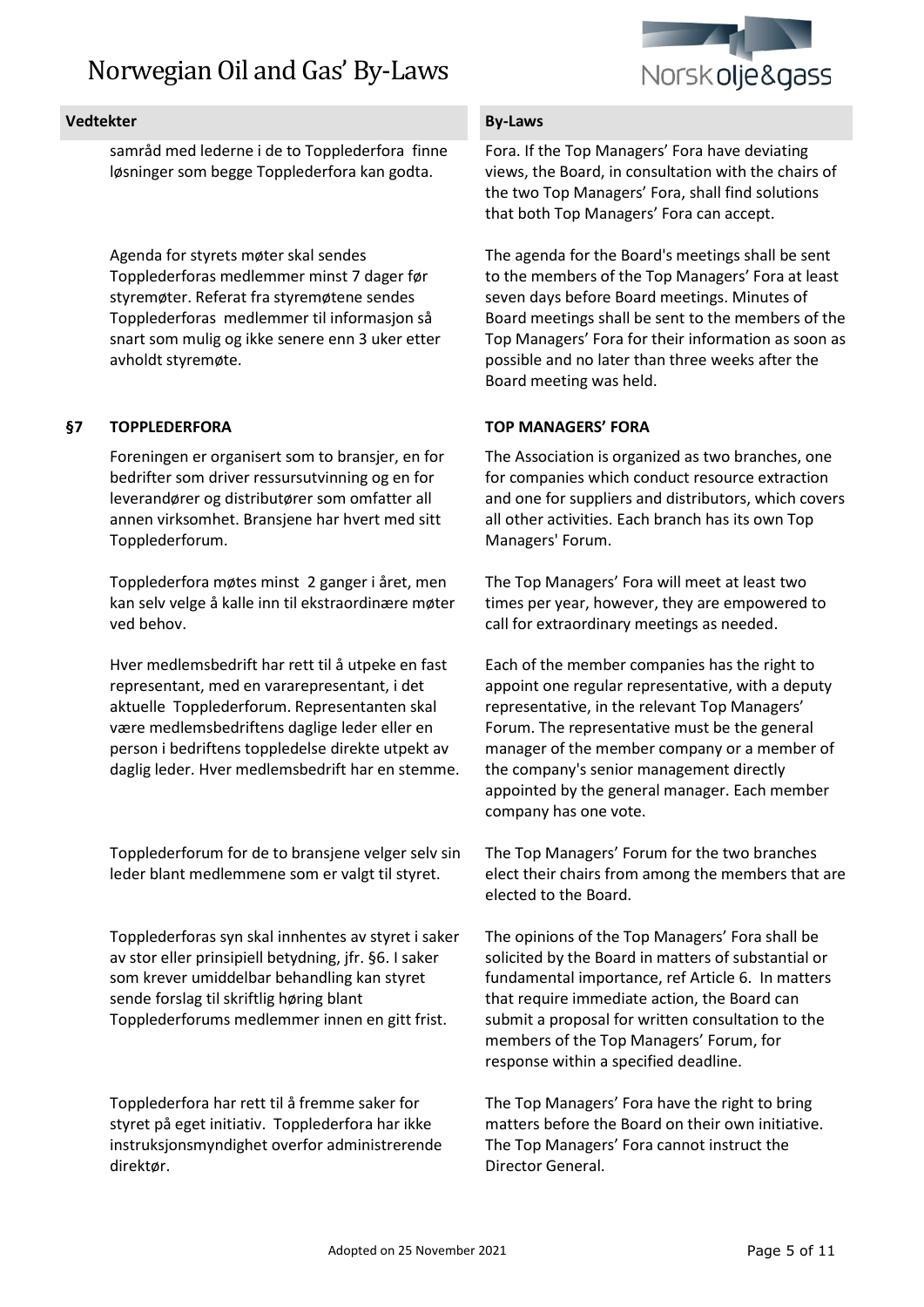

samråd med lederne i de to Topplederfora finne løsninger som begge Topplederfora kan godta.

Agenda for styrets møter skal sendes Topplederforas medlemmer minst 7 dager før styremøter. Referat fra styremøtene sendes Topplederforas medlemmer til informasjon så snart som mulig og ikke senere enn 3 uker etter avholdt styremøte.

# **§7 TOPPLEDERFORA**

Foreningen er organisert som to bransjer, en for bedrifter som driver ressursutvinning og en for leverandører og distributører som omfatter all annen virksomhet. Bransjene har hvert med sitt Topplederforum.

Topplederfora møtes minst 2 ganger i året, men kan selv velge å kalle inn til ekstraordinære møter ved behov.

Hver medlemsbedrift har rett til å utpeke en fast representant, med en vararepresentant, i det aktuelle Topplederforum. Representanten skal være medlemsbedriftens daglige leder eller en person i bedriftens toppledelse direkte utpekt av daglig leder. Hver medlemsbedrift har en stemme.

Topplederforum for de to bransjene velger selv sin leder blant medlemmene som er valgt til styret.

Topplederforas syn skal innhentes av styret i saker av stor eller prinsipiell betydning, jfr. §6. I saker som krever umiddelbar behandling kan styret sende forslag til skriftlig høring blant Topplederforums medlemmer innen en gitt frist.

Topplederfora har rett til å fremme saker for styret på eget initiativ. Topplederfora har ikke instruksjonsmyndighet overfor administrerende direktør.

Fora. If the Top Managers' Fora have deviating views, the Board, in consultation with the chairs of the two Top Managers' Fora, shall find solutions that both Top Managers' Fora can accept.

The agenda for the Board's meetings shall be sent to the members of the Top Managers' Fora at least seven days before Board meetings. Minutes of Board meetings shall be sent to the members of the Top Managers' Fora for their information as soon as possible and no later than three weeks after the Board meeting was held.

# **TOP MANAGERS' FORA**

The Association is organized as two branches, one for companies which conduct resource extraction and one for suppliers and distributors, which covers all other activities. Each branch has its own Top Managers' Forum.

The Top Managers' Fora will meet at least two times per year, however, they are empowered to call for extraordinary meetings as needed.

Each of the member companies has the right to appoint one regular representative, with a deputy representative, in the relevant Top Managers' Forum. The representative must be the general manager of the member company or a member of the company's senior management directly appointed by the general manager. Each member company has one vote.

The Top Managers' Forum for the two branches elect their chairs from among the members that are elected to the Board.

The opinions of the Top Managers' Fora shall be solicited by the Board in matters of substantial or fundamental importance, ref Article 6. In matters that require immediate action, the Board can submit a proposal for written consultation to the members of the Top Managers' Forum, for response within a specified deadline.

The Top Managers' Fora have the right to bring matters before the Board on their own initiative. The Top Managers' Fora cannot instruct the Director General.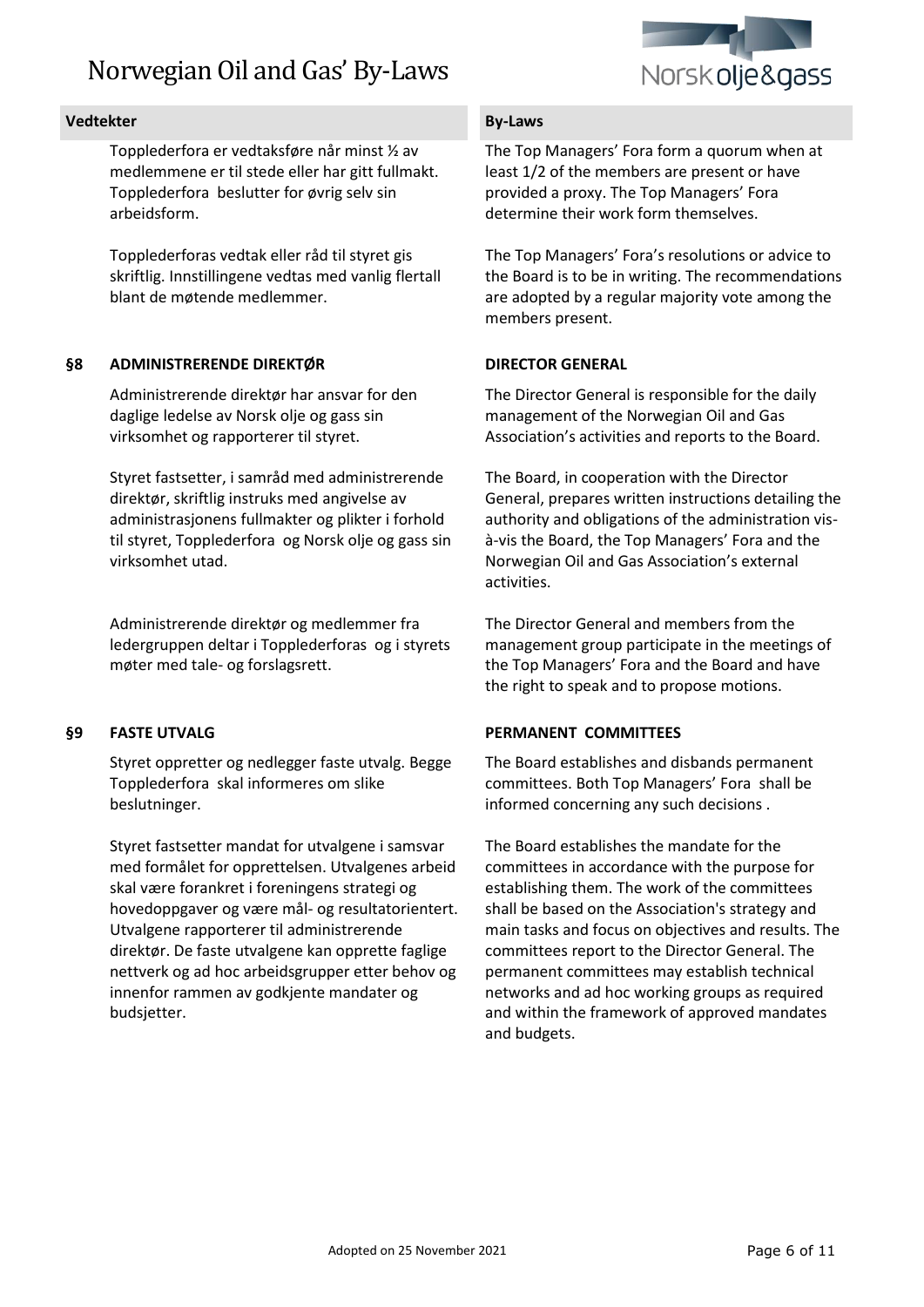

### **Vedtekter By-Laws**

Topplederfora er vedtaksføre når minst ½ av medlemmene er til stede eller har gitt fullmakt. Topplederfora beslutter for øvrig selv sin arbeidsform.

Topplederforas vedtak eller råd til styret gis skriftlig. Innstillingene vedtas med vanlig flertall blant de møtende medlemmer.

### **§8 ADMINISTRERENDE DIREKTØR**

Administrerende direktør har ansvar for den daglige ledelse av Norsk olje og gass sin virksomhet og rapporterer til styret.

Styret fastsetter, i samråd med administrerende direktør, skriftlig instruks med angivelse av administrasjonens fullmakter og plikter i forhold til styret, Topplederfora og Norsk olje og gass sin virksomhet utad.

Administrerende direktør og medlemmer fra ledergruppen deltar i Topplederforas og i styrets møter med tale- og forslagsrett.

# **§9 FASTE UTVALG**

Styret oppretter og nedlegger faste utvalg. Begge Topplederfora skal informeres om slike beslutninger.

Styret fastsetter mandat for utvalgene i samsvar med formålet for opprettelsen. Utvalgenes arbeid skal være forankret i foreningens strategi og hovedoppgaver og være mål- og resultatorientert. Utvalgene rapporterer til administrerende direktør. De faste utvalgene kan opprette faglige nettverk og ad hoc arbeidsgrupper etter behov og innenfor rammen av godkjente mandater og budsjetter.

The Top Managers' Fora form a quorum when at least 1/2 of the members are present or have provided a proxy. The Top Managers' Fora determine their work form themselves.

The Top Managers' Fora's resolutions or advice to the Board is to be in writing. The recommendations are adopted by a regular majority vote among the members present.

### **DIRECTOR GENERAL**

The Director General is responsible for the daily management of the Norwegian Oil and Gas Association's activities and reports to the Board.

The Board, in cooperation with the Director General, prepares written instructions detailing the authority and obligations of the administration visà-vis the Board, the Top Managers' Fora and the Norwegian Oil and Gas Association's external activities.

The Director General and members from the management group participate in the meetings of the Top Managers' Fora and the Board and have the right to speak and to propose motions.

# **PERMANENT COMMITTEES**

The Board establishes and disbands permanent committees. Both Top Managers' Fora shall be informed concerning any such decisions .

The Board establishes the mandate for the committees in accordance with the purpose for establishing them. The work of the committees shall be based on the Association's strategy and main tasks and focus on objectives and results. The committees report to the Director General. The permanent committees may establish technical networks and ad hoc working groups as required and within the framework of approved mandates and budgets.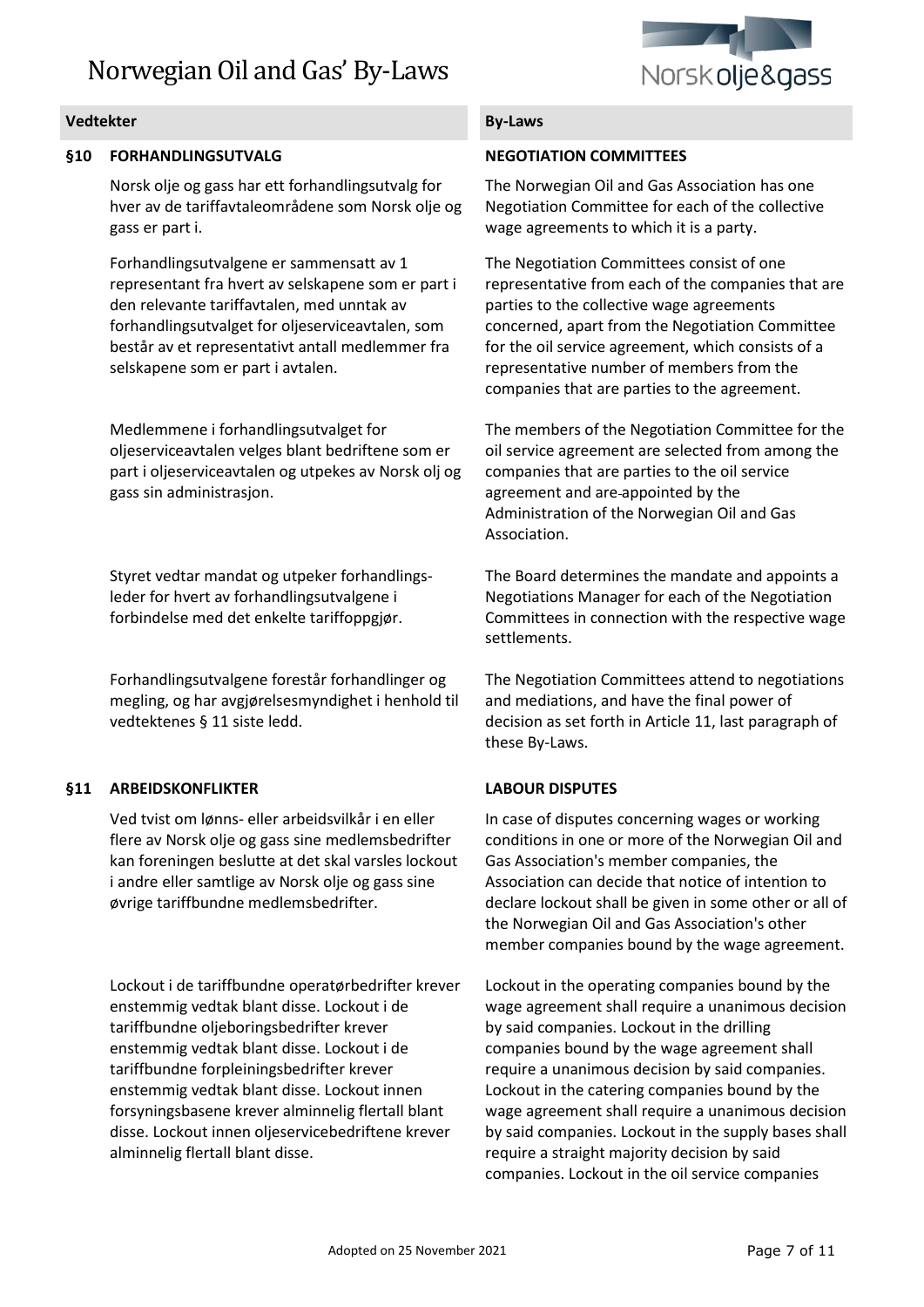

### **§10 FORHANDLINGSUTVALG**

Norsk olje og gass har ett forhandlingsutvalg for hver av de tariffavtaleområdene som Norsk olje og gass er part i.

Forhandlingsutvalgene er sammensatt av 1 representant fra hvert av selskapene som er part i den relevante tariffavtalen, med unntak av forhandlingsutvalget for oljeserviceavtalen, som består av et representativt antall medlemmer fra selskapene som er part i avtalen.

Medlemmene i forhandlingsutvalget for oljeserviceavtalen velges blant bedriftene som er part i oljeserviceavtalen og utpekes av Norsk olj og gass sin administrasjon.

Styret vedtar mandat og utpeker forhandlingsleder for hvert av forhandlingsutvalgene i forbindelse med det enkelte tariffoppgjør.

Forhandlingsutvalgene forestår forhandlinger og megling, og har avgjørelsesmyndighet i henhold til vedtektenes § 11 siste ledd.

# **§11 ARBEIDSKONFLIKTER**

Ved tvist om lønns- eller arbeidsvilkår i en eller flere av Norsk olje og gass sine medlemsbedrifter kan foreningen beslutte at det skal varsles lockout i andre eller samtlige av Norsk olje og gass sine øvrige tariffbundne medlemsbedrifter.

Lockout i de tariffbundne operatørbedrifter krever enstemmig vedtak blant disse. Lockout i de tariffbundne oljeboringsbedrifter krever enstemmig vedtak blant disse. Lockout i de tariffbundne forpleiningsbedrifter krever enstemmig vedtak blant disse. Lockout innen forsyningsbasene krever alminnelig flertall blant disse. Lockout innen oljeservicebedriftene krever alminnelig flertall blant disse.

### **NEGOTIATION COMMITTEES**

The Norwegian Oil and Gas Association has one Negotiation Committee for each of the collective wage agreements to which it is a party.

The Negotiation Committees consist of one representative from each of the companies that are parties to the collective wage agreements concerned, apart from the Negotiation Committee for the oil service agreement, which consists of a representative number of members from the companies that are parties to the agreement.

The members of the Negotiation Committee for the oil service agreement are selected from among the companies that are parties to the oil service agreement and are appointed by the Administration of the Norwegian Oil and Gas Association.

The Board determines the mandate and appoints a Negotiations Manager for each of the Negotiation Committees in connection with the respective wage settlements.

The Negotiation Committees attend to negotiations and mediations, and have the final power of decision as set forth in Article 11, last paragraph of these By-Laws.

### **LABOUR DISPUTES**

In case of disputes concerning wages or working conditions in one or more of the Norwegian Oil and Gas Association's member companies, the Association can decide that notice of intention to declare lockout shall be given in some other or all of the Norwegian Oil and Gas Association's other member companies bound by the wage agreement.

Lockout in the operating companies bound by the wage agreement shall require a unanimous decision by said companies. Lockout in the drilling companies bound by the wage agreement shall require a unanimous decision by said companies. Lockout in the catering companies bound by the wage agreement shall require a unanimous decision by said companies. Lockout in the supply bases shall require a straight majority decision by said companies. Lockout in the oil service companies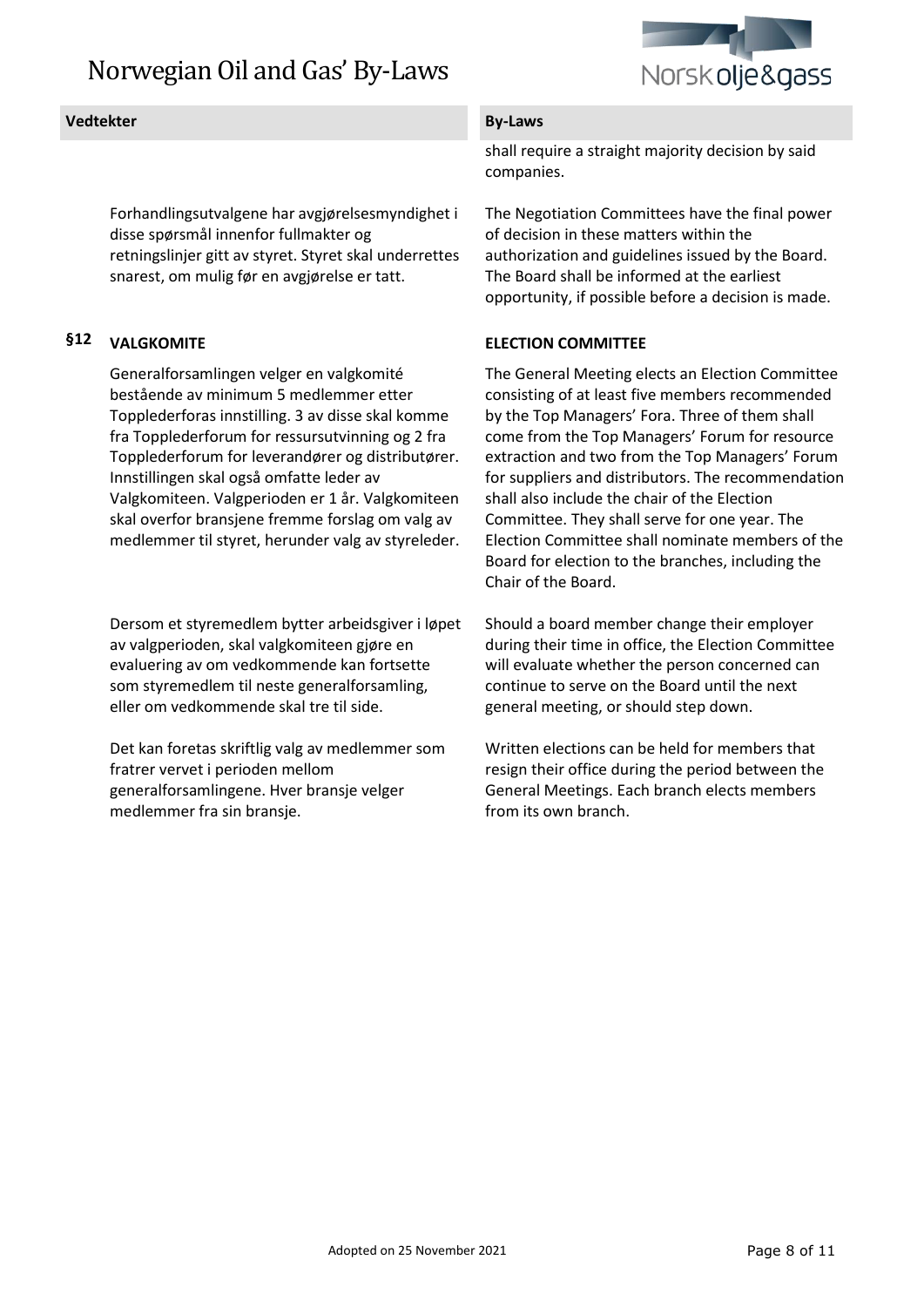

Forhandlingsutvalgene har avgjørelsesmyndighet i disse spørsmål innenfor fullmakter og retningslinjer gitt av styret. Styret skal underrettes snarest, om mulig før en avgjørelse er tatt.

# **§12 VALGKOMITE**

Generalforsamlingen velger en valgkomité bestående av minimum 5 medlemmer etter Topplederforas innstilling. 3 av disse skal komme fra Topplederforum for ressursutvinning og 2 fra Topplederforum for leverandører og distributører. Innstillingen skal også omfatte leder av Valgkomiteen. Valgperioden er 1 år. Valgkomiteen skal overfor bransjene fremme forslag om valg av medlemmer til styret, herunder valg av styreleder.

Dersom et styremedlem bytter arbeidsgiver i løpet av valgperioden, skal valgkomiteen gjøre en evaluering av om vedkommende kan fortsette som styremedlem til neste generalforsamling, eller om vedkommende skal tre til side.

Det kan foretas skriftlig valg av medlemmer som fratrer vervet i perioden mellom generalforsamlingene. Hver bransje velger medlemmer fra sin bransje.

shall require a straight majority decision by said companies.

The Negotiation Committees have the final power of decision in these matters within the authorization and guidelines issued by the Board. The Board shall be informed at the earliest opportunity, if possible before a decision is made.

### **ELECTION COMMITTEE**

The General Meeting elects an Election Committee consisting of at least five members recommended by the Top Managers' Fora. Three of them shall come from the Top Managers' Forum for resource extraction and two from the Top Managers' Forum for suppliers and distributors. The recommendation shall also include the chair of the Election Committee. They shall serve for one year. The Election Committee shall nominate members of the Board for election to the branches, including the Chair of the Board.

Should a board member change their employer during their time in office, the Election Committee will evaluate whether the person concerned can continue to serve on the Board until the next general meeting, or should step down.

Written elections can be held for members that resign their office during the period between the General Meetings. Each branch elects members from its own branch.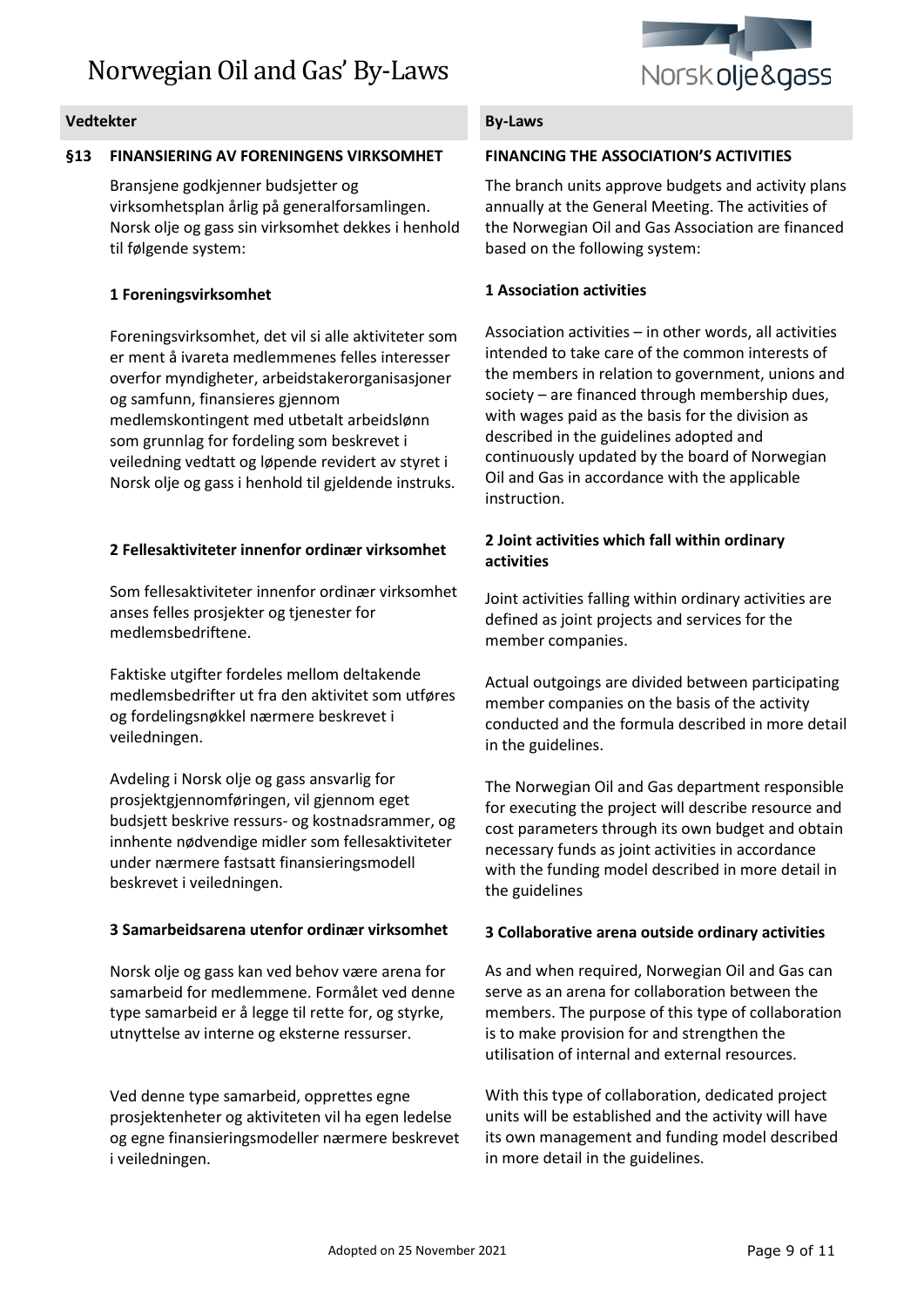

### **§13 FINANSIERING AV FORENINGENS VIRKSOMHET**

Bransjene godkjenner budsjetter og virksomhetsplan årlig på generalforsamlingen. Norsk olje og gass sin virksomhet dekkes i henhold til følgende system:

### **1 Foreningsvirksomhet**

Foreningsvirksomhet, det vil si alle aktiviteter som er ment å ivareta medlemmenes felles interesser overfor myndigheter, arbeidstakerorganisasjoner og samfunn, finansieres gjennom medlemskontingent med utbetalt arbeidslønn som grunnlag for fordeling som beskrevet i veiledning vedtatt og løpende revidert av styret i Norsk olje og gass i henhold til gjeldende instruks.

### **2 Fellesaktiviteter innenfor ordinær virksomhet**

Som fellesaktiviteter innenfor ordinær virksomhet anses felles prosjekter og tjenester for medlemsbedriftene.

Faktiske utgifter fordeles mellom deltakende medlemsbedrifter ut fra den aktivitet som utføres og fordelingsnøkkel nærmere beskrevet i veiledningen.

Avdeling i Norsk olje og gass ansvarlig for prosjektgjennomføringen, vil gjennom eget budsjett beskrive ressurs- og kostnadsrammer, og innhente nødvendige midler som fellesaktiviteter under nærmere fastsatt finansieringsmodell beskrevet i veiledningen.

### **3 Samarbeidsarena utenfor ordinær virksomhet**

Norsk olje og gass kan ved behov være arena for samarbeid for medlemmene. Formålet ved denne type samarbeid er å legge til rette for, og styrke, utnyttelse av interne og eksterne ressurser.

Ved denne type samarbeid, opprettes egne prosjektenheter og aktiviteten vil ha egen ledelse og egne finansieringsmodeller nærmere beskrevet i veiledningen.

### **FINANCING THE ASSOCIATION'S ACTIVITIES**

The branch units approve budgets and activity plans annually at the General Meeting. The activities of the Norwegian Oil and Gas Association are financed based on the following system:

### **1 Association activities**

Association activities – in other words, all activities intended to take care of the common interests of the members in relation to government, unions and society – are financed through membership dues, with wages paid as the basis for the division as described in the guidelines adopted and continuously updated by the board of Norwegian Oil and Gas in accordance with the applicable instruction.

### **2 Joint activities which fall within ordinary activities**

Joint activities falling within ordinary activities are defined as joint projects and services for the member companies.

Actual outgoings are divided between participating member companies on the basis of the activity conducted and the formula described in more detail in the guidelines.

The Norwegian Oil and Gas department responsible for executing the project will describe resource and cost parameters through its own budget and obtain necessary funds as joint activities in accordance with the funding model described in more detail in the guidelines

### **3 Collaborative arena outside ordinary activities**

As and when required, Norwegian Oil and Gas can serve as an arena for collaboration between the members. The purpose of this type of collaboration is to make provision for and strengthen the utilisation of internal and external resources.

With this type of collaboration, dedicated project units will be established and the activity will have its own management and funding model described in more detail in the guidelines.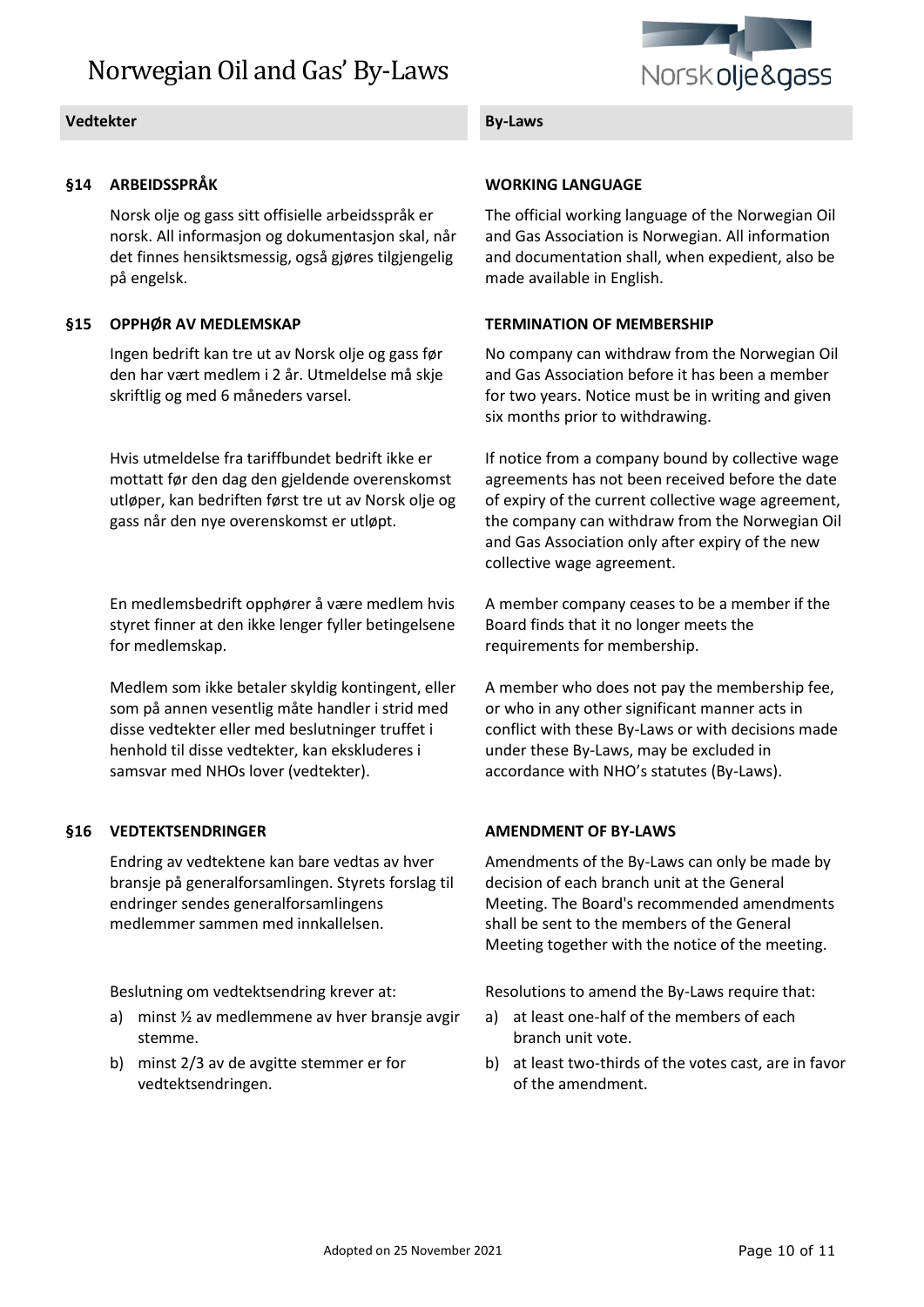

### **Vedtekter By-Laws**

### **§14 ARBEIDSSPRÅK**

Norsk olje og gass sitt offisielle arbeidsspråk er norsk. All informasjon og dokumentasjon skal, når det finnes hensiktsmessig, også gjøres tilgjengelig på engelsk.

### **§15 OPPHØR AV MEDLEMSKAP**

Ingen bedrift kan tre ut av Norsk olje og gass før den har vært medlem i 2 år. Utmeldelse må skje skriftlig og med 6 måneders varsel.

Hvis utmeldelse fra tariffbundet bedrift ikke er mottatt før den dag den gjeldende overenskomst utløper, kan bedriften først tre ut av Norsk olje og gass når den nye overenskomst er utløpt.

En medlemsbedrift opphører å være medlem hvis styret finner at den ikke lenger fyller betingelsene for medlemskap.

Medlem som ikke betaler skyldig kontingent, eller som på annen vesentlig måte handler i strid med disse vedtekter eller med beslutninger truffet i henhold til disse vedtekter, kan ekskluderes i samsvar med NHOs lover (vedtekter).

# **§16 VEDTEKTSENDRINGER**

Endring av vedtektene kan bare vedtas av hver bransje på generalforsamlingen. Styrets forslag til endringer sendes generalforsamlingens medlemmer sammen med innkallelsen.

Beslutning om vedtektsendring krever at:

- a) minst ½ av medlemmene av hver bransje avgir stemme.
- b) minst 2/3 av de avgitte stemmer er for vedtektsendringen.

### **WORKING LANGUAGE**

The official working language of the Norwegian Oil and Gas Association is Norwegian. All information and documentation shall, when expedient, also be made available in English.

### **TERMINATION OF MEMBERSHIP**

No company can withdraw from the Norwegian Oil and Gas Association before it has been a member for two years. Notice must be in writing and given six months prior to withdrawing.

If notice from a company bound by collective wage agreements has not been received before the date of expiry of the current collective wage agreement, the company can withdraw from the Norwegian Oil and Gas Association only after expiry of the new collective wage agreement.

A member company ceases to be a member if the Board finds that it no longer meets the requirements for membership.

A member who does not pay the membership fee, or who in any other significant manner acts in conflict with these By-Laws or with decisions made under these By-Laws, may be excluded in accordance with NHO's statutes (By-Laws).

### **AMENDMENT OF BY-LAWS**

Amendments of the By-Laws can only be made by decision of each branch unit at the General Meeting. The Board's recommended amendments shall be sent to the members of the General Meeting together with the notice of the meeting.

Resolutions to amend the By-Laws require that:

- a) at least one-half of the members of each branch unit vote.
- b) at least two-thirds of the votes cast, are in favor of the amendment.